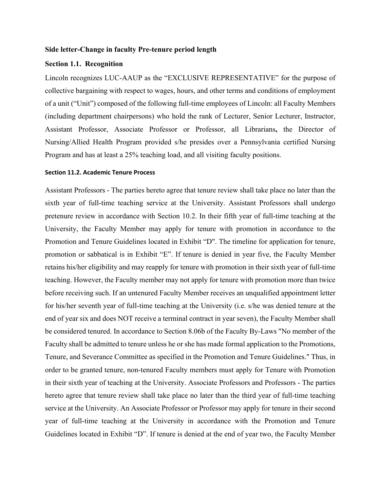## **Side letter-Change in faculty Pre-tenure period length**

## **Section 1.1. Recognition**

Lincoln recognizes LUC-AAUP as the "EXCLUSIVE REPRESENTATIVE" for the purpose of collective bargaining with respect to wages, hours, and other terms and conditions of employment of a unit ("Unit") composed of the following full-time employees of Lincoln: all Faculty Members (including department chairpersons) who hold the rank of Lecturer, Senior Lecturer, Instructor, Assistant Professor, Associate Professor or Professor, all Librarians**,** the Director of Nursing/Allied Health Program provided s/he presides over a Pennsylvania certified Nursing Program and has at least a 25% teaching load, and all visiting faculty positions.

## **Section 11.2. Academic Tenure Process**

Assistant Professors - The parties hereto agree that tenure review shall take place no later than the sixth year of full-time teaching service at the University. Assistant Professors shall undergo pretenure review in accordance with Section 10.2. In their fifth year of full-time teaching at the University, the Faculty Member may apply for tenure with promotion in accordance to the Promotion and Tenure Guidelines located in Exhibit "D". The timeline for application for tenure, promotion or sabbatical is in Exhibit "E". If tenure is denied in year five, the Faculty Member retains his/her eligibility and may reapply for tenure with promotion in their sixth year of full-time teaching. However, the Faculty member may not apply for tenure with promotion more than twice before receiving such. If an untenured Faculty Member receives an unqualified appointment letter for his/her seventh year of full-time teaching at the University (i.e. s/he was denied tenure at the end of year six and does NOT receive a terminal contract in year seven), the Faculty Member shall be considered tenured. In accordance to Section 8.06b of the Faculty By-Laws "No member of the Faculty shall be admitted to tenure unless he or she has made formal application to the Promotions, Tenure, and Severance Committee as specified in the Promotion and Tenure Guidelines." Thus, in order to be granted tenure, non-tenured Faculty members must apply for Tenure with Promotion in their sixth year of teaching at the University. Associate Professors and Professors - The parties hereto agree that tenure review shall take place no later than the third year of full-time teaching service at the University. An Associate Professor or Professor may apply for tenure in their second year of full-time teaching at the University in accordance with the Promotion and Tenure Guidelines located in Exhibit "D". If tenure is denied at the end of year two, the Faculty Member